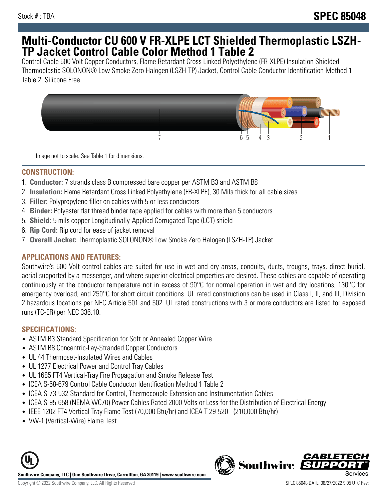# **Multi-Conductor CU 600 V FR-XLPE LCT Shielded Thermoplastic LSZH-TP Jacket Control Cable Color Method 1 Table 2**

Control Cable 600 Volt Copper Conductors, Flame Retardant Cross Linked Polyethylene (FR-XLPE) Insulation Shielded Thermoplastic SOLONON® Low Smoke Zero Halogen (LSZH-TP) Jacket, Control Cable Conductor Identification Method 1 Table 2. Silicone Free



Image not to scale. See Table 1 for dimensions.

### **CONSTRUCTION:**

- 1. **Conductor:** 7 strands class B compressed bare copper per ASTM B3 and ASTM B8
- 2. **Insulation:** Flame Retardant Cross Linked Polyethylene (FR-XLPE), 30 Mils thick for all cable sizes
- 3. **Filler:** Polypropylene filler on cables with 5 or less conductors
- 4. **Binder:** Polyester flat thread binder tape applied for cables with more than 5 conductors
- 5. **Shield:** 5 mils copper Longitudinally-Applied Corrugated Tape (LCT) shield
- 6. **Rip Cord:** Rip cord for ease of jacket removal
- 7. **Overall Jacket:** Thermoplastic SOLONON® Low Smoke Zero Halogen (LSZH-TP) Jacket

# **APPLICATIONS AND FEATURES:**

Southwire's 600 Volt control cables are suited for use in wet and dry areas, conduits, ducts, troughs, trays, direct burial, aerial supported by a messenger, and where superior electrical properties are desired. These cables are capable of operating continuously at the conductor temperature not in excess of 90°C for normal operation in wet and dry locations, 130°C for emergency overload, and 250°C for short circuit conditions. UL rated constructions can be used in Class I, II, and III, Division 2 hazardous locations per NEC Article 501 and 502. UL rated constructions with 3 or more conductors are listed for exposed runs (TC-ER) per NEC 336.10.

# **SPECIFICATIONS:**

- ASTM B3 Standard Specification for Soft or Annealed Copper Wire
- ASTM B8 Concentric-Lay-Stranded Copper Conductors
- UL 44 Thermoset-Insulated Wires and Cables
- UL 1277 Electrical Power and Control Tray Cables
- UL 1685 FT4 Vertical-Tray Fire Propagation and Smoke Release Test
- ICEA S-58-679 Control Cable Conductor Identification Method 1 Table 2
- ICEA S-73-532 Standard for Control, Thermocouple Extension and Instrumentation Cables
- ICEA S-95-658 (NEMA WC70) Power Cables Rated 2000 Volts or Less for the Distribution of Electrical Energy
- IEEE 1202 FT4 Vertical Tray Flame Test (70,000 Btu/hr) and ICEA T-29-520 (210,000 Btu/hr)
- VW-1 (Vertical-Wire) Flame Test



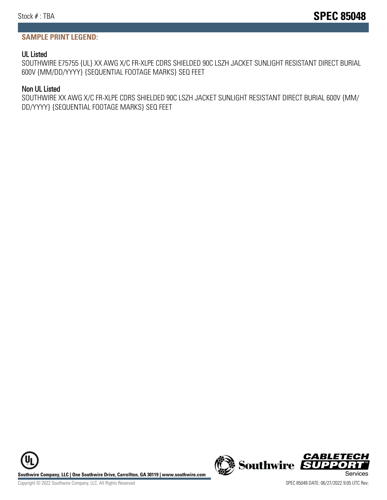#### **SAMPLE PRINT LEGEND:**

#### UL Listed

SOUTHWIRE E75755 {UL} XX AWG X/C FR-XLPE CDRS SHIELDED 90C LSZH JACKET SUNLIGHT RESISTANT DIRECT BURIAL 600V {MM/DD/YYYY} {SEQUENTIAL FOOTAGE MARKS} SEQ FEET

#### Non UL Listed

SOUTHWIRE XX AWG X/C FR-XLPE CDRS SHIELDED 90C LSZH JACKET SUNLIGHT RESISTANT DIRECT BURIAL 600V {MM/ DD/YYYY} {SEQUENTIAL FOOTAGE MARKS} SEQ FEET



Copyright © 2022 Southwire Company, LLC. All Rights Reserved SPEC 85048 DATE: 06/27/2022 9:05 UTC Rev: